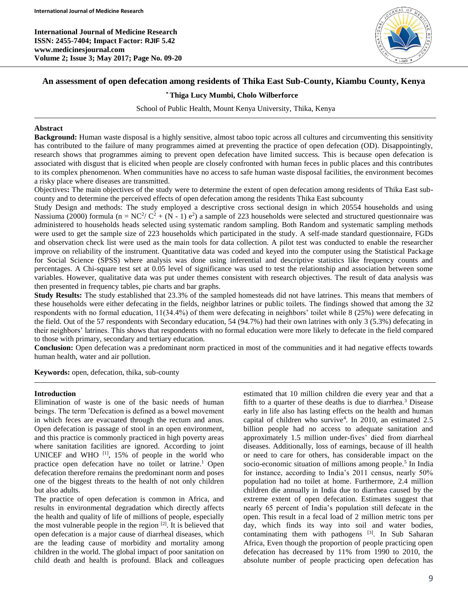**International Journal of Medicine Research ISSN: 2455-7404; Impact Factor: RJIF 5.42 www.medicinesjournal.com Volume 2; Issue 3; May 2017; Page No. 09-20**



# **An assessment of open defecation among residents of Thika East Sub-County, Kiambu County, Kenya**

#### **\* Thiga Lucy Mumbi, Cholo Wilberforce**

School of Public Health, Mount Kenya University, Thika, Kenya

#### **Abstract**

**Background:** Human waste disposal is a highly sensitive, almost taboo topic across all cultures and circumventing this sensitivity has contributed to the failure of many programmes aimed at preventing the practice of open defecation (OD). Disappointingly, research shows that programmes aiming to prevent open defecation have limited success. This is because open defecation is associated with disgust that is elicited when people are closely confronted with human feces in public places and this contributes to its complex phenomenon. When communities have no access to safe human waste disposal facilities, the environment becomes a risky place where diseases are transmitted.

Objectives**:** The main objectives of the study were to determine the extent of open defecation among residents of Thika East subcounty and to determine the perceived effects of open defecation among the residents Thika East subcounty

Study Design and methods: The study employed a descriptive cross sectional design in which 20554 households and using Nassiuma (2000) formula ( $n = NC^2/C^2 + (N - 1)e^2$ ) a sample of 223 households were selected and structured questionnaire was administered to households heads selected using systematic random sampling. Both Random and systematic sampling methods were used to get the sample size of 223 households which participated in the study. A self-made standard questionnaire, FGDs and observation check list were used as the main tools for data collection. A pilot test was conducted to enable the researcher improve on reliability of the instrument. Quantitative data was coded and keyed into the computer using the Statistical Package for Social Science (SPSS) where analysis was done using inferential and descriptive statistics like frequency counts and percentages. A Chi-square test set at 0.05 level of significance was used to test the relationship and association between some variables. However, qualitative data was put under themes consistent with research objectives. The result of data analysis was then presented in frequency tables, pie charts and bar graphs.

**Study Results:** The study established that 23.3% of the sampled homesteads did not have latrines. This means that members of these households were either defecating in the fields, neighbor latrines or public toilets. The findings showed that among the 32 respondents with no formal education, 11(34.4%) of them were defecating in neighbors' toilet while 8 (25%) were defecating in the field. Out of the 57 respondents with Secondary education, 54 (94.7%) had their own latrines with only 3 (5.3%) defecating in their neighbors' latrines. This shows that respondents with no formal education were more likely to defecate in the field compared to those with primary, secondary and tertiary education.

**Conclusion:** Open defecation was a predominant norm practiced in most of the communities and it had negative effects towards human health, water and air pollution.

**Keywords:** open, defecation, thika, sub-county

#### **Introduction**

Elimination of waste is one of the basic needs of human beings. The term 'Defecation is defined as a bowel movement in which feces are evacuated through the rectum and anus. Open defecation is passage of stool in an open environment, and this practice is commonly practiced in high poverty areas where sanitation facilities are ignored. According to joint UNICEF and WHO  $[1]$ , 15% of people in the world who practice open defecation have no toilet or latrine.<sup>1</sup> Open defecation therefore remains the predominant norm and poses one of the biggest threats to the health of not only children but also adults.

The practice of open defecation is common in Africa, and results in environmental degradation which directly affects the health and quality of life of millions of people, especially the most vulnerable people in the region [2] . It is believed that open defecation is a major cause of diarrheal diseases, which are the leading cause of morbidity and mortality among children in the world. The global impact of poor sanitation on child death and health is profound. Black and colleagues

estimated that 10 million children die every year and that a fifth to a quarter of these deaths is due to diarrhea.<sup>3</sup> Disease early in life also has lasting effects on the health and human capital of children who survive<sup>4</sup> . In 2010, an estimated 2.5 billion people had no access to adequate sanitation and approximately 1.5 million under-fives' died from diarrheal diseases. Additionally, loss of earnings, because of ill health or need to care for others, has considerable impact on the socio-economic situation of millions among people.<sup>5</sup> In India for instance, according to India's 2011 census, nearly 50% population had no toilet at home. Furthermore, 2.4 million children die annually in India due to diarrhea caused by the extreme extent of open defecation. Estimates suggest that nearly 65 percent of India's population still defecate in the open. This result in a fecal load of 2 million metric tons per day, which finds its way into soil and water bodies, contaminating them with pathogens  $[3]$ . In Sub Saharan Africa, Even though the proportion of people practicing open defecation has decreased by 11% from 1990 to 2010, the absolute number of people practicing open defecation has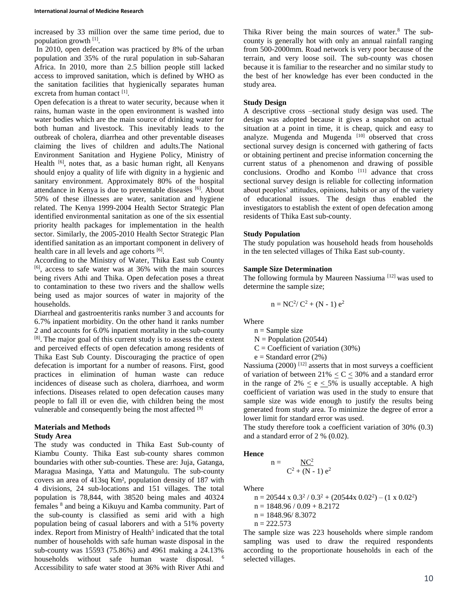increased by 33 million over the same time period, due to population growth [1].

In 2010, open defecation was practiced by 8% of the urban population and 35% of the rural population in sub-Saharan Africa. In 2010, more than 2.5 billion people still lacked access to improved sanitation, which is defined by WHO as the sanitation facilities that hygienically separates human excreta from human contact<sup>[1]</sup>.

Open defecation is a threat to water security, because when it rains, human waste in the open environment is washed into water bodies which are the main source of drinking water for both human and livestock. This inevitably leads to the outbreak of cholera, diarrhea and other preventable diseases claiming the lives of children and adults.The National Environment Sanitation and Hygiene Policy, Ministry of Health <sup>[6]</sup>, notes that, as a basic human right, all Kenyans should enjoy a quality of life with dignity in a hygienic and sanitary environment. Approximately 80% of the hospital attendance in Kenya is due to preventable diseases [6]. About 50% of these illnesses are water, sanitation and hygiene related. The Kenya 1999-2004 Health Sector Strategic Plan identified environmental sanitation as one of the six essential priority health packages for implementation in the health sector. Similarly, the 2005-2010 Health Sector Strategic Plan identified sanitation as an important component in delivery of health care in all levels and age cohorts [6].

According to the Ministry of Water, Thika East sub County [6] , access to safe water was at 36% with the main sources being rivers Athi and Thika. Open defecation poses a threat to contamination to these two rivers and the shallow wells being used as major sources of water in majority of the households.

Diarrheal and gastroenteritis ranks number 3 and accounts for 6.7% inpatient morbidity. On the other hand it ranks number 2 and accounts for 6.0% inpatient mortality in the sub-county [8]. The major goal of this current study is to assess the extent and perceived effects of open defecation among residents of Thika East Sub County. Discouraging the practice of open defecation is important for a number of reasons. First, good practices in elimination of human waste can reduce incidences of disease such as cholera, diarrhoea, and worm infections. Diseases related to open defecation causes many people to fall ill or even die, with children being the most vulnerable and consequently being the most affected  $[9]$ 

# **Materials and Methods**

# **Study Area**

The study was conducted in Thika East Sub-county of Kiambu County. Thika East sub-county shares common boundaries with other sub-counties. These are: Juja, Gatanga, Maragua Masinga, Yatta and Matungulu. The sub-county covers an area of 413sq Km², population density of 187 with 4 divisions, 24 sub-locations and 151 villages. The total population is 78,844, with 38520 being males and 40324 females <sup>8</sup> and being a Kikuyu and Kamba community. Part of the sub-county is classified as semi arid with a high population being of casual laborers and with a 51% poverty index. Report from Ministry of Health<sup>5</sup> indicated that the total number of households with safe human waste disposal in the sub-county was 15593 (75.86%) and 4961 making a 24.13% households without safe human waste disposal. <sup>6</sup> Accessibility to safe water stood at 36% with River Athi and

Thika River being the main sources of water.<sup>8</sup> The subcounty is generally hot with only an annual rainfall ranging from 500-2000mm. Road network is very poor because of the terrain, and very loose soil. The sub-county was chosen because it is familiar to the researcher and no similar study to the best of her knowledge has ever been conducted in the study area.

### **Study Design**

A descriptive cross –sectional study design was used. The design was adopted because it gives a snapshot on actual situation at a point in time, it is cheap, quick and easy to analyze. Mugenda and Mugenda  $[10]$  observed that cross sectional survey design is concerned with gathering of facts or obtaining pertinent and precise information concerning the current status of a phenomenon and drawing of possible conclusions. Orodho and Kombo  $[11]$  advance that cross sectional survey design is reliable for collecting information about peoples' attitudes, opinions, habits or any of the variety of educational issues. The design thus enabled the investigators to establish the extent of open defecation among residents of Thika East sub-county.

#### **Study Population**

The study population was household heads from households in the ten selected villages of Thika East sub-county.

#### **Sample Size Determination**

The following formula by Maureen Nassiuma [12] was used to determine the sample size;

$$
n = NC2/ C2 + (N - 1) e2
$$

Where

- $n =$ Sample size
- $N =$  Population (20544)
- $C = Coefficient of variation (30%)$
- $e =$ Standard error (2%)

Nassiuma (2000)<sup>[12]</sup> asserts that in most surveys a coefficient of variation of between  $21\% \leq C \leq 30\%$  and a standard error in the range of  $2\% \le e \le 5\%$  is usually acceptable. A high coefficient of variation was used in the study to ensure that sample size was wide enough to justify the results being generated from study area. To minimize the degree of error a lower limit for standard error was used.

The study therefore took a coefficient variation of 30% (0.3) and a standard error of 2 % (0.02).

**Hence** 

$$
n = \frac{NC^2}{C^2 + (N-1)e^2}
$$

Where

 $n = 20544 \times 0.3^2 / 0.3^2 + (20544 \times 0.02^2) - (1 \times 0.02^2)$  $n = 1848.96 / 0.09 + 8.2172$  $n = 1848.96/ 8.3072$  $n = 222.573$ 

The sample size was 223 households where simple random sampling was used to draw the required respondents according to the proportionate households in each of the selected villages.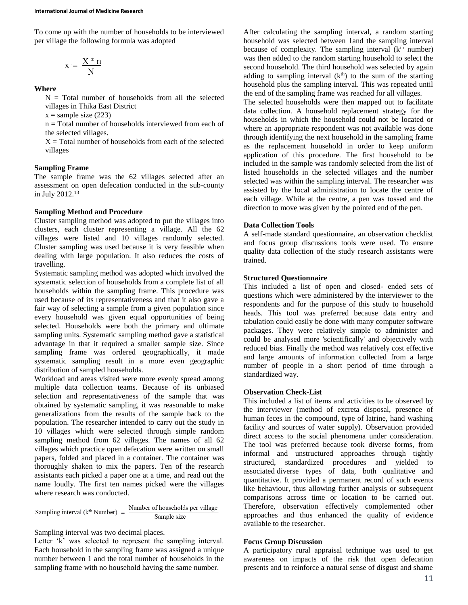To come up with the number of households to be interviewed per village the following formula was adopted

$$
x\coloneqq\,\frac{X\mathbin{\hbox{\tt\char'42}}\,n}{N}
$$

**Where**

 $N = Total$  number of households from all the selected villages in Thika East District

 $x =$ sample size (223)

n = Total number of households interviewed from each of the selected villages.

 $X = Total$  number of households from each of the selected villages

# **Sampling Frame**

The sample frame was the 62 villages selected after an assessment on open defecation conducted in the sub-county in July 2012.<sup>13</sup>

### **Sampling Method and Procedure**

Cluster sampling method was adopted to put the villages into clusters, each cluster representing a village. All the 62 villages were listed and 10 villages randomly selected. Cluster sampling was used because it is very feasible when dealing with large population. It also reduces the costs of travelling.

Systematic sampling method was adopted which involved the systematic selection of households from a complete list of all households within the sampling frame. This procedure was used because of its representativeness and that it also gave a fair way of selecting a sample from a given population since every household was given equal opportunities of being selected. Households were both the primary and ultimate sampling units. Systematic sampling method gave a statistical advantage in that it required a smaller sample size. Since sampling frame was ordered geographically, it made systematic sampling result in a more even geographic distribution of sampled households.

Workload and areas visited were more evenly spread among multiple data collection teams. Because of its unbiased selection and representativeness of the sample that was obtained by systematic sampling, it was reasonable to make generalizations from the results of the sample back to the population. The researcher intended to carry out the study in 10 villages which were selected through simple random sampling method from 62 villages. The names of all 62 villages which practice open defecation were written on small papers, folded and placed in a container. The container was thoroughly shaken to mix the papers. Ten of the research assistants each picked a paper one at a time, and read out the name loudly. The first ten names picked were the villages where research was conducted.

Sampling interval ( $k^{th}$  Number) =  $\frac{\text{Number of households per village}}{\text{Sample size}}$ Sample size

Sampling interval was two decimal places.

Letter 'k' was selected to represent the sampling interval. Each household in the sampling frame was assigned a unique number between 1 and the total number of households in the sampling frame with no household having the same number.

After calculating the sampling interval, a random starting household was selected between 1and the sampling interval because of complexity. The sampling interval  $(k<sup>th</sup>$  number) was then added to the random starting household to select the second household. The third household was selected by again adding to sampling interval  $(k<sup>th</sup>)$  to the sum of the starting household plus the sampling interval. This was repeated until the end of the sampling frame was reached for all villages.

The selected households were then mapped out to facilitate data collection. A household replacement strategy for the households in which the household could not be located or where an appropriate respondent was not available was done through identifying the next household in the sampling frame as the replacement household in order to keep uniform application of this procedure. The first household to be included in the sample was randomly selected from the list of listed households in the selected villages and the number selected was within the sampling interval. The researcher was assisted by the local administration to locate the centre of each village. While at the centre, a pen was tossed and the direction to move was given by the pointed end of the pen.

# **Data Collection Tools**

A self-made standard questionnaire, an observation checklist and focus group discussions tools were used. To ensure quality data collection of the study research assistants were trained.

# **Structured Questionnaire**

This included a list of open and closed- ended sets of questions which were administered by the interviewer to the respondents and for the purpose of this study to household heads. This tool was preferred because data entry and tabulation could easily be done with many computer software packages. They were relatively simple to administer and could be analysed more 'scientifically' and objectively with reduced bias. Finally the method was relatively cost effective and large amounts of information collected from a large number of people in a short period of time through a standardized way.

### **Observation Check-List**

This included a list of items and activities to be observed by the interviewer (method of excreta disposal, presence of human feces in the compound, type of latrine, hand washing facility and sources of water supply). Observation provided direct access to the social phenomena under consideration. The tool was preferred because took diverse forms, from informal and unstructured approaches through tightly structured, standardized procedures and yielded to associated diverse types of data, both qualitative and quantitative. It provided a permanent record of such events like behaviour, thus allowing further analysis or subsequent comparisons across time or location to be carried out. Therefore, observation effectively complemented other approaches and thus enhanced the quality of evidence available to the researcher.

# **Focus Group Discussion**

A participatory rural appraisal technique was used to get awareness on impacts of the risk that open defecation presents and to reinforce a natural sense of disgust and shame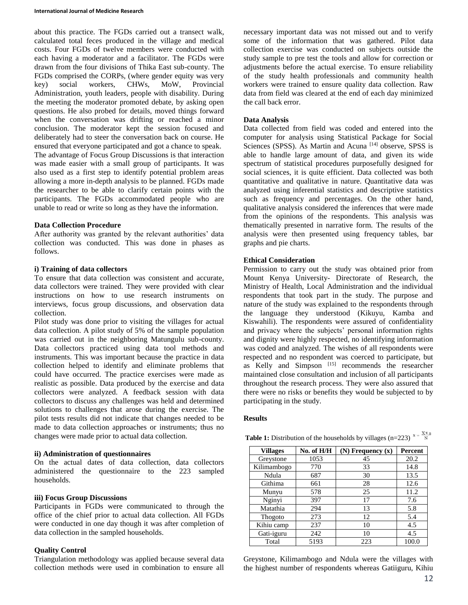about this practice. The FGDs carried out a transect walk, calculated total feces produced in the village and medical costs. Four FGDs of twelve members were conducted with each having a moderator and a facilitator. The FGDs were drawn from the four divisions of Thika East sub-county. The FGDs comprised the CORPs, (where gender equity was very key) social workers, CHWs, MoW, Provincial Administration, youth leaders, people with disability. During the meeting the moderator promoted debate, by asking open questions. He also probed for details, moved things forward when the conversation was drifting or reached a minor conclusion. The moderator kept the session focused and deliberately had to steer the conversation back on course. He ensured that everyone participated and got a chance to speak. The advantage of Focus Group Discussions is that interaction was made easier with a small group of participants. It was also used as a first step to identify potential problem areas allowing a more in-depth analysis to be planned. FGDs made the researcher to be able to clarify certain points with the participants. The FGDs accommodated people who are unable to read or write so long as they have the information.

#### **Data Collection Procedure**

After authority was granted by the relevant authorities' data collection was conducted. This was done in phases as follows.

### **i) Training of data collectors**

To ensure that data collection was consistent and accurate, data collectors were trained. They were provided with clear instructions on how to use research instruments on interviews, focus group discussions, and observation data collection.

Pilot study was done prior to visiting the villages for actual data collection. A pilot study of 5% of the sample population was carried out in the neighboring Matungulu sub-county. Data collectors practiced using data tool methods and instruments. This was important because the practice in data collection helped to identify and eliminate problems that could have occurred. The practice exercises were made as realistic as possible. Data produced by the exercise and data collectors were analyzed. A feedback session with data collectors to discuss any challenges was held and determined solutions to challenges that arose during the exercise. The pilot tests results did not indicate that changes needed to be made to data collection approaches or instruments; thus no changes were made prior to actual data collection.

#### **ii) Administration of questionnaires**

On the actual dates of data collection, data collectors administered the questionnaire to the 223 sampled households.

#### **iii) Focus Group Discussions**

Participants in FGDs were communicated to through the office of the chief prior to actual data collection. All FGDs were conducted in one day though it was after completion of data collection in the sampled households.

### **Quality Control**

Triangulation methodology was applied because several data collection methods were used in combination to ensure all necessary important data was not missed out and to verify some of the information that was gathered. Pilot data collection exercise was conducted on subjects outside the study sample to pre test the tools and allow for correction or adjustments before the actual exercise. To ensure reliability of the study health professionals and community health workers were trained to ensure quality data collection. Raw data from field was cleared at the end of each day minimized the call back error.

#### **Data Analysis**

Data collected from field was coded and entered into the computer for analysis using Statistical Package for Social Sciences (SPSS). As Martin and Acuna [14] observe, SPSS is able to handle large amount of data, and given its wide spectrum of statistical procedures purposefully designed for social sciences, it is quite efficient. Data collected was both quantitative and qualitative in nature. Quantitative data was analyzed using inferential statistics and descriptive statistics such as frequency and percentages. On the other hand, qualitative analysis considered the inferences that were made from the opinions of the respondents. This analysis was thematically presented in narrative form. The results of the analysis were then presented using frequency tables, bar graphs and pie charts.

#### **Ethical Consideration**

Permission to carry out the study was obtained prior from Mount Kenya University- Directorate of Research, the Ministry of Health, Local Administration and the individual respondents that took part in the study. The purpose and nature of the study was explained to the respondents through the language they understood (Kikuyu, Kamba and Kiswahili). The respondents were assured of confidentiality and privacy where the subjects' personal information rights and dignity were highly respected, no identifying information was coded and analyzed. The wishes of all respondents were respected and no respondent was coerced to participate, but as Kelly and Simpson<sup>[15]</sup> recommends the researcher maintained close consultation and inclusion of all participants throughout the research process. They were also assured that there were no risks or benefits they would be subjected to by participating in the study.

#### **Results**

| <b>Table 1:</b> Distribution of the households by villages (n=223) <sup>x=<math>\frac{X=0}{N}</math></sup> |  |
|------------------------------------------------------------------------------------------------------------|--|
|------------------------------------------------------------------------------------------------------------|--|

| <b>Villages</b> | No. of H/H | $(N)$ Frequency $(x)$ | Percent |
|-----------------|------------|-----------------------|---------|
| Greystone       | 1053       | 45                    | 20.2    |
| Kilimambogo     | 770        | 33                    | 14.8    |
| Ndula           | 687        | 30                    | 13.5    |
| Githima         | 661        | 28                    | 12.6    |
| Munyu           | 578        | 25                    | 11.2    |
| Nginyi          | 397        | 17                    | 7.6     |
| Matathia        | 294        | 13                    | 5.8     |
| Thogoto         | 273        | 12                    | 5.4     |
| Kihiu camp      | 237        | 10                    | 4.5     |
| Gati-iguru      | 242        | 10                    | 4.5     |
| Total           | 5193       | 223                   | 100.0   |

Greystone, Kilimambogo and Ndula were the villages with the highest number of respondents whereas Gatiiguru, Kihiu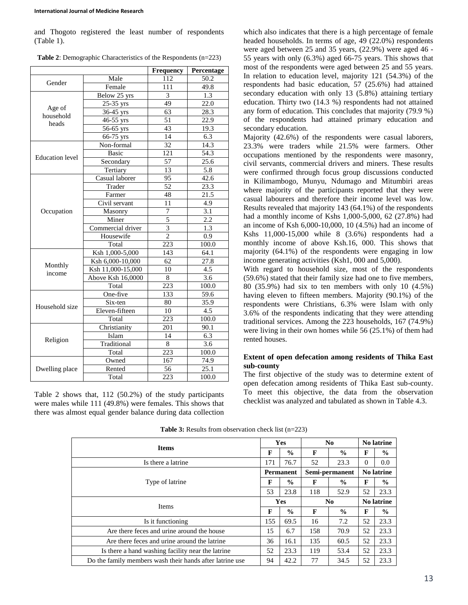and Thogoto registered the least number of respondents (Table 1).

| Table 2: Demographic Characteristics of the Respondents (n=223) |  |  |  |
|-----------------------------------------------------------------|--|--|--|
|-----------------------------------------------------------------|--|--|--|

|                        |                         | <b>Frequency</b> | Percentage        |
|------------------------|-------------------------|------------------|-------------------|
| Gender                 | Male                    | 112              | 50.2              |
|                        | Female                  | 111              | 49.8              |
|                        | Below 25 yrs            | 3                | 1.3               |
|                        | 25-35 yrs               | 49               | 22.0              |
| Age of<br>household    | 36-45 yrs               | 63               | 28.3              |
| heads                  | 46-55 yrs               | 51               | 22.9              |
|                        | $\overline{56}$ -65 yrs | 43               | 19.3              |
|                        | 66-75 yrs               | 14               | 6.3               |
|                        | Non-formal              | 32               | 14.3              |
| <b>Education</b> level | <b>Basic</b>            | 121              | 54.3              |
|                        | Secondary               | 57               | 25.6              |
|                        | Tertiary                | 13               | 5.8               |
|                        | Casual laborer          | 95               | 42.6              |
|                        | Trader                  | $\overline{52}$  | 23.3              |
|                        | Farmer                  | 48               | 21.5              |
|                        | Civil servant           | 11               | 4.9               |
| Occupation             | Masonry                 | $\overline{7}$   | 3.1               |
|                        | Miner                   | 5                | 2.2               |
|                        | Commercial driver       | $\overline{3}$   | 1.3               |
|                        | Housewife               | $\overline{2}$   | 0.9               |
|                        | Total                   | 223              | 100.0             |
|                        | Ksh 1,000-5,000         | 143              | 64.1              |
|                        | Ksh 6,000-10,000        | 62               | 27.8              |
| Monthly<br>income      | Ksh 11,000-15,000       | 10               | 4.5               |
|                        | Above Ksh 16,0000       | 8                | 3.6               |
|                        | Total                   | 223              | 100.0             |
|                        | One-five                | 133              | 59.6              |
| Household size         | Six-ten                 | 80               | 35.9              |
|                        | Eleven-fifteen          | 10               | 4.5               |
|                        | Total                   | 223              | 100.0             |
|                        | Christianity            | 201              | 90.1              |
|                        | Islam                   | 14               | 6.3               |
| Religion               | Traditional             | 8                | 3.6               |
|                        | Total                   | 223              | 100.0             |
|                        | Owned                   | 167              | 74.9              |
| Dwelling place         | Rented                  | 56               | $25.\overline{1}$ |
|                        | Total                   | 223              | 100.0             |

Table 2 shows that, 112 (50.2%) of the study participants were males while 111 (49.8%) were females. This shows that there was almost equal gender balance during data collection which also indicates that there is a high percentage of female headed households. In terms of age, 49 (22.0%) respondents were aged between 25 and 35 years, (22.9%) were aged 46 - 55 years with only (6.3%) aged 66-75 years. This shows that most of the respondents were aged between 25 and 55 years. In relation to education level, majority 121 (54.3%) of the respondents had basic education, 57 (25.6%) had attained secondary education with only 13 (5.8%) attaining tertiary education. Thirty two (14.3 %) respondents had not attained any form of education. This concludes that majority (79.9 %) of the respondents had attained primary education and secondary education.

Majority (42.6%) of the respondents were casual laborers, 23.3% were traders while 21.5% were farmers. Other occupations mentioned by the respondents were masonry, civil servants, commercial drivers and miners. These results were confirmed through focus group discussions conducted in Kilimambogo, Munyu, Ndumago and Mitumbiri areas where majority of the participants reported that they were casual labourers and therefore their income level was low. Results revealed that majority 143 (64.1%) of the respondents had a monthly income of Kshs 1,000-5,000, 62 (27.8%) had an income of Ksh 6,000-10,000, 10 (4.5%) had an income of Kshs 11,000-15,000 while 8 (3.6%) respondents had a monthly income of above Ksh.16, 000. This shows that majority (64.1%) of the respondents were engaging in low income generating activities (Ksh1, 000 and 5,000).

With regard to household size, most of the respondents (59.6%) stated that their family size had one to five members, 80 (35.9%) had six to ten members with only 10 (4.5%) having eleven to fifteen members. Majority (90.1%) of the respondents were Christians, 6.3% were Islam with only 3.6% of the respondents indicating that they were attending traditional services. Among the 223 households, 167 (74.9%) were living in their own homes while 56 (25.1%) of them had rented houses.

# **Extent of open defecation among residents of Thika East sub-county**

The first objective of the study was to determine extent of open defecation among residents of Thika East sub-county. To meet this objective, the data from the observation checklist was analyzed and tabulated as shown in Table 4.3.

| <b>Items</b>                                             |     | <b>Yes</b>       | N <sub>0</sub> |                | <b>No latrine</b> |               |
|----------------------------------------------------------|-----|------------------|----------------|----------------|-------------------|---------------|
|                                                          |     | $\frac{0}{0}$    | F              | $\frac{0}{0}$  | F                 | $\frac{6}{9}$ |
| Is there a latrine                                       | 171 | 76.7             | 52             | 23.3           | $\Omega$          | 0.0           |
|                                                          |     | <b>Permanent</b> |                | Semi-permanent | <b>No latrine</b> |               |
| Type of latrine                                          | F   | $\frac{0}{0}$    | F              | $\frac{6}{9}$  | F                 | $\frac{6}{9}$ |
|                                                          |     | 23.8             | 118            | 52.9           | 52                | 23.3          |
| Items                                                    |     | Yes              | N <sub>0</sub> |                | <b>No latrine</b> |               |
|                                                          |     | $\%$             | F              | $\frac{0}{0}$  | F                 | $\frac{6}{9}$ |
| Is it functioning                                        | 155 | 69.5             | 16             | 7.2            | 52                | 23.3          |
| Are there feces and urine around the house               |     | 6.7              | 158            | 70.9           | 52                | 23.3          |
| Are there feces and urine around the latrine             |     | 16.1             | 135            | 60.5           | 52                | 23.3          |
| Is there a hand washing facility near the latrine        |     | 23.3             | 119            | 53.4           | 52                | 23.3          |
| Do the family members wash their hands after latrine use | 94  | 42.2             | 77             | 34.5           | 52                | 23.3          |

**Table 3:** Results from observation check list (n=223)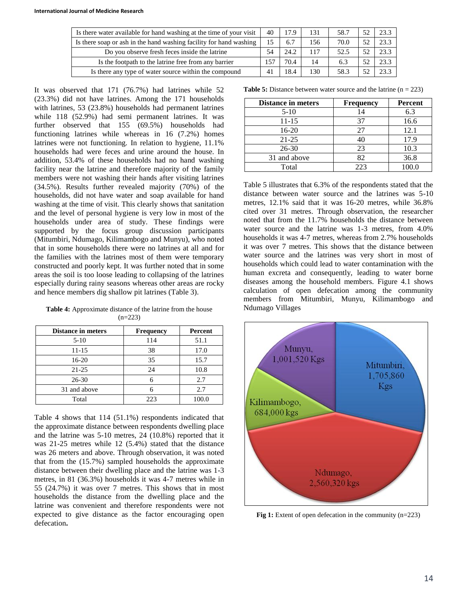| Is there water available for hand washing at the time of your visit | 40  | 17.9 | 131 | 58.7 | 52 | 23.3 |
|---------------------------------------------------------------------|-----|------|-----|------|----|------|
| Is there soap or ash in the hand washing facility for hand washing  | 15  | 6.7  | 156 | 70.0 | 52 | 23.3 |
| Do you observe fresh feces inside the latrine                       | 54  | 24.2 | 117 | 52.5 | 52 | 23.3 |
| Is the footpath to the latrine free from any barrier                | 157 | 70.4 | 14  | 6.3  | 52 | 23.3 |
| Is there any type of water source within the compound               | 41  | 18.4 | 130 | 58.3 | 52 | 23.3 |

It was observed that 171 (76.7%) had latrines while 52 (23.3%) did not have latrines. Among the 171 households with latrines, 53 (23.8%) households had permanent latrines while 118 (52.9%) had semi permanent latrines. It was further observed that 155 (69.5%) households had functioning latrines while whereas in 16 (7.2%) homes latrines were not functioning. In relation to hygiene, 11.1% households had were feces and urine around the house. In addition, 53.4% of these households had no hand washing facility near the latrine and therefore majority of the family members were not washing their hands after visiting latrines (34.5%). Results further revealed majority (70%) of the households, did not have water and soap available for hand washing at the time of visit. This clearly shows that sanitation and the level of personal hygiene is very low in most of the households under area of study. These findings were supported by the focus group discussion participants (Mitumbiri, Ndumago, Kilimambogo and Munyu), who noted that in some households there were no latrines at all and for the families with the latrines most of them were temporary constructed and poorly kept. It was further noted that in some areas the soil is too loose leading to collapsing of the latrines especially during rainy seasons whereas other areas are rocky and hence members dig shallow pit latrines (Table 3).

**Table 4:** Approximate distance of the latrine from the house  $(n=223)$ 

| <b>Distance in meters</b> | <b>Frequency</b> | Percent |
|---------------------------|------------------|---------|
| $5-10$                    | 114              | 51.1    |
| $11 - 15$                 | 38               | 17.0    |
| $16-20$                   | 35               | 15.7    |
| $21 - 25$                 | 24               | 10.8    |
| $26 - 30$                 | 6                | 2.7     |
| 31 and above              | 6                | 2.7     |
| Total                     | 223              | 100.0   |

Table 4 shows that 114 (51.1%) respondents indicated that the approximate distance between respondents dwelling place and the latrine was 5-10 metres, 24 (10.8%) reported that it was 21-25 metres while 12 (5.4%) stated that the distance was 26 meters and above. Through observation, it was noted that from the (15.7%) sampled households the approximate distance between their dwelling place and the latrine was 1-3 metres, in 81 (36.3%) households it was 4-7 metres while in 55 (24.7%) it was over 7 metres. This shows that in most households the distance from the dwelling place and the latrine was convenient and therefore respondents were not expected to give distance as the factor encouraging open defecation**.**

**Table 5:** Distance between water source and the latrine (n = 223)

| <b>Distance in meters</b> | <b>Frequency</b> | <b>Percent</b> |
|---------------------------|------------------|----------------|
| $5-10$                    | 14               | 6.3            |
| 11-15                     | 37               | 16.6           |
| $16-20$                   | 27               | 12.1           |
| $21 - 25$                 | 40               | 17.9           |
| $26 - 30$                 | 23               | 10.3           |
| 31 and above              | 82               | 36.8           |
| Total                     | 223              |                |

Table 5 illustrates that 6.3% of the respondents stated that the distance between water source and the latrines was 5-10 metres, 12.1% said that it was 16-20 metres, while 36.8% cited over 31 metres. Through observation, the researcher noted that from the 11.7% households the distance between water source and the latrine was 1-3 metres, from 4.0% households it was 4-7 metres, whereas from 2.7% households it was over 7 metres. This shows that the distance between water source and the latrines was very short in most of households which could lead to water contamination with the human excreta and consequently, leading to water borne diseases among the household members. Figure 4.1 shows calculation of open defecation among the community members from Mitumbiri, Munyu, Kilimambogo and Ndumago Villages



**Fig 1:** Extent of open defecation in the community (n=223)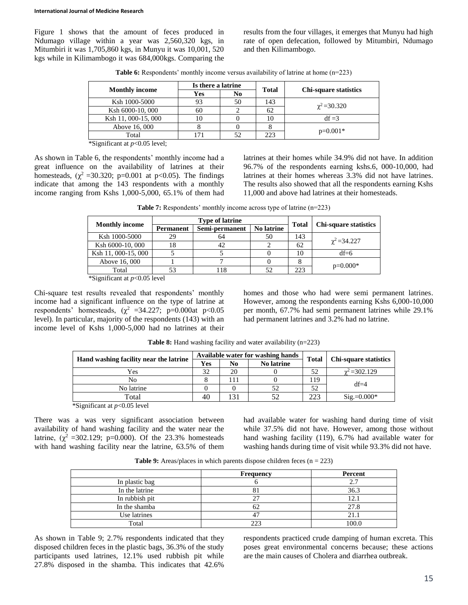Figure 1 shows that the amount of feces produced in Ndumago village within a year was 2,560,320 kgs, in Mitumbiri it was 1,705,860 kgs, in Munyu it was 10,001, 520 kgs while in Kilimambogo it was 684,000kgs. Comparing the results from the four villages, it emerges that Munyu had high rate of open defecation, followed by Mitumbiri, Ndumago and then Kilimambogo.

**Table 6:** Respondents' monthly income versus availability of latrine at home (n=223)

|                       | Is there a latrine |                | <b>Total</b> |                              |
|-----------------------|--------------------|----------------|--------------|------------------------------|
| <b>Monthly income</b> | Yes                | N <sub>0</sub> |              | <b>Chi-square statistics</b> |
| Ksh 1000-5000         | 93                 | 50             | 143          |                              |
| Ksh 6000-10, 000      | 60                 |                | 62           | $\chi^2$ = 30.320            |
| Ksh 11, 000-15, 000   | 10                 |                | 10           | $df = 3$                     |
| Above 16, 000         |                    |                |              | $p=0.001*$                   |
| Total                 | l 71               | 52             | 223          |                              |

\*Significant at *p*<0.05 level;

As shown in Table 6, the respondents' monthly income had a great influence on the availability of latrines at their homesteads, ( $\chi^2$  =30.320; p=0.001 at p<0.05). The findings indicate that among the 143 respondents with a monthly income ranging from Kshs 1,000-5,000, 65.1% of them had latrines at their homes while 34.9% did not have. In addition 96.7% of the respondents earning kshs.6, 000-10,000, had latrines at their homes whereas 3.3% did not have latrines. The results also showed that all the respondents earning Kshs 11,000 and above had latrines at their homesteads.

**Table 7:** Respondents' monthly income across type of latrine (n=223)

|                       |           | <b>Type of latrine</b> |                   |              |                              |
|-----------------------|-----------|------------------------|-------------------|--------------|------------------------------|
| <b>Monthly income</b> | Permanent | Semi-permanent         | <b>No latrine</b> | <b>Total</b> | <b>Chi-square statistics</b> |
| Ksh 1000-5000         | 29        | 64                     | 50                | 143          | $\gamma^2 = 34.227$          |
| Ksh 6000-10, 000      | 18        | 42                     |                   | 62           |                              |
| Ksh 11, 000-15, 000   |           |                        |                   | 10           | $df=6$                       |
| Above 16, 000         |           |                        |                   |              |                              |
| Total                 |           | l 18                   | 52                | 223          | $p=0.000*$                   |

\*Significant at *p*<0.05 level

Chi-square test results revealed that respondents' monthly income had a significant influence on the type of latrine at respondents' homesteads,  $(\chi^2 = 34.227; \text{ p=0.000at } p < 0.05$ level). In particular, majority of the respondents (143) with an income level of Kshs 1,000-5,000 had no latrines at their homes and those who had were semi permanent latrines. However, among the respondents earning Kshs 6,000-10,000 per month, 67.7% had semi permanent latrines while 29.1% had permanent latrines and 3.2% had no latrine.

|                                                             |     | Available water for washing hands |                   |              |                              |
|-------------------------------------------------------------|-----|-----------------------------------|-------------------|--------------|------------------------------|
| Hand washing facility near the latrine                      | Yes | No                                | <b>No latrine</b> | <b>Total</b> | <b>Chi-square statistics</b> |
| Yes                                                         | 32  | 20                                |                   | 52           | $\gamma^2 = 302.129$         |
| No                                                          |     |                                   |                   | 119          | $df=4$                       |
| No latrine                                                  |     |                                   |                   | 52           |                              |
| Total                                                       | 40  |                                   |                   | 223          | $\text{Sig.}=0.000*$         |
| $\&\text{Ciam}(f_{\text{cont}})$ of $\rightarrow$ 0.05 land |     |                                   |                   |              |                              |

**Table 8:** Hand washing facility and water availability (n=223)

\*Significant at *p*<0.05 level

There was a was very significant association between availability of hand washing facility and the water near the latrine,  $(\chi^2 = 302.129; \text{ p=0.000})$ . Of the 23.3% homesteads with hand washing facility near the latrine, 63.5% of them had available water for washing hand during time of visit while 37.5% did not have. However, among those without hand washing facility (119), 6.7% had available water for washing hands during time of visit while 93.3% did not have.

**Table 9:** Areas/places in which parents dispose children feces (n = 223)

|                | Frequency | Percent |
|----------------|-----------|---------|
| In plastic bag |           | 2.7     |
| In the latrine |           | 36.3    |
| In rubbish pit | つつ        | 12.1    |
| In the shamba  | 62        | 27.8    |
| Use latrines   | 47        | 21.1    |
| Total          | າາາ       | 100.0   |

As shown in Table 9; 2.7% respondents indicated that they disposed children feces in the plastic bags, 36.3% of the study participants used latrines, 12.1% used rubbish pit while 27.8% disposed in the shamba. This indicates that 42.6%

respondents practiced crude damping of human excreta. This poses great environmental concerns because; these actions are the main causes of Cholera and diarrhea outbreak.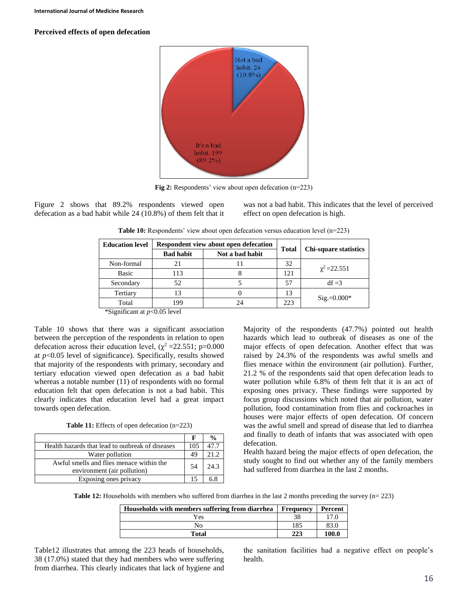### **Perceived effects of open defecation**



**Fig 2:** Respondents' view about open defecation (n=223)

Figure 2 shows that 89.2% respondents viewed open defecation as a bad habit while 24 (10.8%) of them felt that it was not a bad habit. This indicates that the level of perceived effect on open defecation is high.

Table 10: Respondents' view about open defecation versus education level (n=223)

|  | <b>Education level</b>         | Respondent view about open defecation |                 | <b>Total</b> |                              |  |
|--|--------------------------------|---------------------------------------|-----------------|--------------|------------------------------|--|
|  |                                | <b>Bad habit</b>                      | Not a bad habit |              | <b>Chi-square statistics</b> |  |
|  | Non-formal                     | 21                                    |                 | 32           |                              |  |
|  | <b>Basic</b>                   | 113                                   |                 | 121          | $\chi^2$ = 22.551            |  |
|  | Secondary                      | 52                                    |                 | 57           | $df = 3$                     |  |
|  | Tertiary                       | 13                                    |                 | 13           | $\text{Sig} = 0.000*$        |  |
|  | Total                          | 199                                   | 24              | 223          |                              |  |
|  | *Significant at $p<0.05$ level |                                       |                 |              |                              |  |

Table 10 shows that there was a significant association between the perception of the respondents in relation to open defecation across their education level,  $(\chi^2 = 22.551; \text{ p}=0.000)$ at *p*<0.05 level of significance). Specifically, results showed that majority of the respondents with primary, secondary and tertiary education viewed open defecation as a bad habit whereas a notable number (11) of respondents with no formal education felt that open defecation is not a bad habit. This clearly indicates that education level had a great impact towards open defecation.

**Table 11:** Effects of open defecation (n=223)

|                                                                         |     | $\frac{0}{0}$ |
|-------------------------------------------------------------------------|-----|---------------|
| Health hazards that lead to outbreak of diseases                        | 105 | 47.7          |
| Water pollution                                                         | 49  | 21.2          |
| Awful smells and flies menace within the<br>environment (air pollution) | .54 | 24.3          |
| Exposing ones privacy                                                   |     |               |

Majority of the respondents (47.7%) pointed out health hazards which lead to outbreak of diseases as one of the major effects of open defecation. Another effect that was raised by 24.3% of the respondents was awful smells and flies menace within the environment (air pollution). Further, 21.2 % of the respondents said that open defecation leads to water pollution while 6.8% of them felt that it is an act of exposing ones privacy. These findings were supported by focus group discussions which noted that air pollution, water pollution, food contamination from flies and cockroaches in houses were major effects of open defecation. Of concern was the awful smell and spread of disease that led to diarrhea and finally to death of infants that was associated with open defecation.

Health hazard being the major effects of open defecation, the study sought to find out whether any of the family members had suffered from diarrhea in the last 2 months.

**Table 12:** Households with members who suffered from diarrhea in the last 2 months preceding the survey (n= 223)

| Households with members suffering from diarrhea | Frequency | Percent |
|-------------------------------------------------|-----------|---------|
| Yes                                             |           |         |
| No                                              | 185       | 83.0    |
| Total                                           | 223       | 100.0   |

Table12 illustrates that among the 223 heads of households, 38 (17.0%) stated that they had members who were suffering from diarrhea. This clearly indicates that lack of hygiene and the sanitation facilities had a negative effect on people's health.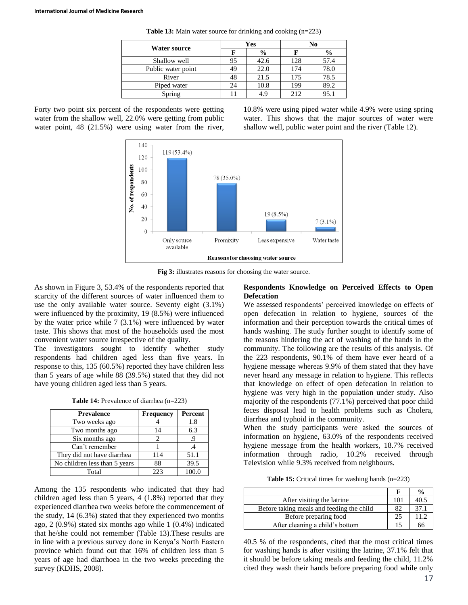|                    |    | Yes           | No   |               |  |
|--------------------|----|---------------|------|---------------|--|
| Water source       |    | $\frac{6}{9}$ |      | $\frac{0}{0}$ |  |
| Shallow well       | 95 | 42.6          | 128  | 57.4          |  |
| Public water point | 49 | 22.0          | 174  | 78.0          |  |
| River              |    | 21.5          | 175  | 78.5          |  |
| Piped water        | 24 | 10.8          | 199  | 89.2          |  |
| Spring             |    |               | 2.12 | 95.1          |  |

**Table 13:** Main water source for drinking and cooking (n=223)

Forty two point six percent of the respondents were getting water from the shallow well, 22.0% were getting from public water point, 48 (21.5%) were using water from the river, 10.8% were using piped water while 4.9% were using spring water. This shows that the major sources of water were shallow well, public water point and the river (Table 12).



**Fig 3:** illustrates reasons for choosing the water source.

As shown in Figure 3, 53.4% of the respondents reported that scarcity of the different sources of water influenced them to use the only available water source. Seventy eight (3.1%) were influenced by the proximity, 19 (8.5%) were influenced by the water price while 7 (3.1%) were influenced by water taste. This shows that most of the households used the most convenient water source irrespective of the quality.

The investigators sought to identify whether study respondents had children aged less than five years. In response to this, 135 (60.5%) reported they have children less than 5 years of age while 88 (39.5%) stated that they did not have young children aged less than 5 years.

**Table 14:** Prevalence of diarrhea (n=223)

| <b>Prevalence</b>             | <b>Frequency</b> | Percent |
|-------------------------------|------------------|---------|
| Two weeks ago                 |                  | 1.8     |
| Two months ago                | 14               | 6.3     |
| Six months ago                |                  | .9      |
| Can't remember                |                  |         |
| They did not have diarrhea    | 114              | 51.1    |
| No children less than 5 years | 88               | 39.5    |
| Total                         | 223              |         |

Among the 135 respondents who indicated that they had children aged less than 5 years, 4 (1.8%) reported that they experienced diarrhea two weeks before the commencement of the study, 14 (6.3%) stated that they experienced two months ago, 2 (0.9%) stated six months ago while 1 (0.4%) indicated that he/she could not remember (Table 13).These results are in line with a previous survey done in Kenya's North Eastern province which found out that 16% of children less than 5 years of age had diarrhoea in the two weeks preceding the survey (KDHS, 2008).

### **Respondents Knowledge on Perceived Effects to Open Defecation**

We assessed respondents' perceived knowledge on effects of open defecation in relation to hygiene, sources of the information and their perception towards the critical times of hands washing. The study further sought to identify some of the reasons hindering the act of washing of the hands in the community. The following are the results of this analysis. Of the 223 respondents, 90.1% of them have ever heard of a hygiene message whereas 9.9% of them stated that they have never heard any message in relation to hygiene. This reflects that knowledge on effect of open defecation in relation to hygiene was very high in the population under study. Also majority of the respondents (77.1%) perceived that poor child feces disposal lead to health problems such as Cholera, diarrhea and typhoid in the community.

When the study participants were asked the sources of information on hygiene, 63.0% of the respondents received hygiene message from the health workers, 18.7% received information through radio, 10.2% received through Television while 9.3% received from neighbours.

| <b>Table 15:</b> Critical times for washing hands $(n=223)$ |  |  |  |  |  |  |
|-------------------------------------------------------------|--|--|--|--|--|--|
|-------------------------------------------------------------|--|--|--|--|--|--|

|                                           |     | $\frac{0}{0}$ |
|-------------------------------------------|-----|---------------|
| After visiting the latrine                | 101 | 40.5          |
| Before taking meals and feeding the child | 82  | 37.1          |
| Before preparing food                     | 25  | 11.2.         |
| After cleaning a child's bottom           |     | 66            |

40.5 % of the respondents, cited that the most critical times for washing hands is after visiting the latrine, 37.1% felt that it should be before taking meals and feeding the child, 11.2% cited they wash their hands before preparing food while only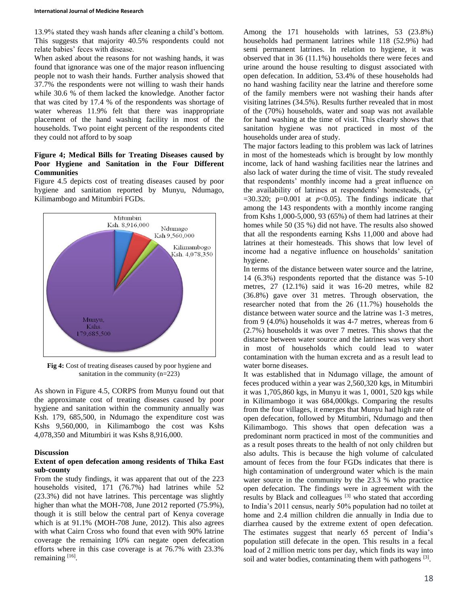13.9% stated they wash hands after cleaning a child's bottom. This suggests that majority 40.5% respondents could not relate babies' feces with disease.

When asked about the reasons for not washing hands, it was found that ignorance was one of the major reason influencing people not to wash their hands. Further analysis showed that 37.7% the respondents were not willing to wash their hands while 30.6 % of them lacked the knowledge. Another factor that was cited by 17.4 % of the respondents was shortage of water whereas 11.9% felt that there was inappropriate placement of the hand washing facility in most of the households. Two point eight percent of the respondents cited they could not afford to by soap

### **Figure 4; Medical Bills for Treating Diseases caused by Poor Hygiene and Sanitation in the Four Different Communities**

Figure 4.5 depicts cost of treating diseases caused by poor hygiene and sanitation reported by Munyu, Ndumago, Kilimambogo and Mitumbiri FGDs.



**Fig 4:** Cost of treating diseases caused by poor hygiene and sanitation in the community (n=223)

As shown in Figure 4.5, CORPS from Munyu found out that the approximate cost of treating diseases caused by poor hygiene and sanitation within the community annually was Ksh. 179, 685,500, in Ndumago the expenditure cost was Kshs 9,560,000, in Kilimambogo the cost was Kshs 4,078,350 and Mitumbiri it was Kshs 8,916,000.

### **Discussion**

### **Extent of open defecation among residents of Thika East sub-county**

From the study findings, it was apparent that out of the 223 households visited, 171 (76.7%) had latrines while 52 (23.3%) did not have latrines. This percentage was slightly higher than what the MOH-708, June 2012 reported (75.9%), though it is still below the central part of Kenya coverage which is at 91.1% (MOH-708 June, 2012). This also agrees with what Cairn Cross who found that even with 90% latrine coverage the remaining 10% can negate open defecation efforts where in this case coverage is at 76.7% with 23.3% remaining [16].

Among the 171 households with latrines, 53 (23.8%) households had permanent latrines while 118 (52.9%) had semi permanent latrines. In relation to hygiene, it was observed that in 36 (11.1%) households there were feces and urine around the house resulting to disgust associated with open defecation. In addition, 53.4% of these households had no hand washing facility near the latrine and therefore some of the family members were not washing their hands after visiting latrines (34.5%). Results further revealed that in most of the (70%) households, water and soap was not available for hand washing at the time of visit. This clearly shows that sanitation hygiene was not practiced in most of the households under area of study.

The major factors leading to this problem was lack of latrines in most of the homesteads which is brought by low monthly income, lack of hand washing facilities near the latrines and also lack of water during the time of visit. The study revealed that respondents' monthly income had a great influence on the availability of latrines at respondents' homesteads,  $(\chi^2)$  $=$ 30.320; p=0.001 at  $p$ <0.05). The findings indicate that among the 143 respondents with a monthly income ranging from Kshs 1,000-5,000, 93 (65%) of them had latrines at their homes while 50 (35 %) did not have. The results also showed that all the respondents earning Kshs 11,000 and above had latrines at their homesteads. This shows that low level of income had a negative influence on households' sanitation hygiene.

In terms of the distance between water source and the latrine, 14 (6.3%) respondents reported that the distance was 5-10 metres, 27 (12.1%) said it was 16-20 metres, while 82 (36.8%) gave over 31 metres. Through observation, the researcher noted that from the 26 (11.7%) households the distance between water source and the latrine was 1-3 metres, from 9 (4.0%) households it was 4-7 metres, whereas from 6 (2.7%) households it was over 7 metres. This shows that the distance between water source and the latrines was very short in most of households which could lead to water contamination with the human excreta and as a result lead to water borne diseases.

It was established that in Ndumago village, the amount of feces produced within a year was 2,560,320 kgs, in Mitumbiri it was 1,705,860 kgs, in Munyu it was 1, 0001, 520 kgs while in Kilimambogo it was 684,000kgs. Comparing the results from the four villages, it emerges that Munyu had high rate of open defecation, followed by Mitumbiri, Ndumago and then Kilimambogo. This shows that open defecation was a predominant norm practiced in most of the communities and as a result poses threats to the health of not only children but also adults. This is because the high volume of calculated amount of feces from the four FGDs indicates that there is high contamination of underground water which is the main water source in the community by the 23.3 % who practice open defecation. The findings were in agreement with the results by Black and colleagues [3] who stated that according to India's 2011 census, nearly 50% population had no toilet at home and 2.4 million children die annually in India due to diarrhea caused by the extreme extent of open defecation. The estimates suggest that nearly 65 percent of India's population still defecate in the open. This results in a fecal load of 2 million metric tons per day, which finds its way into soil and water bodies, contaminating them with pathogens [3].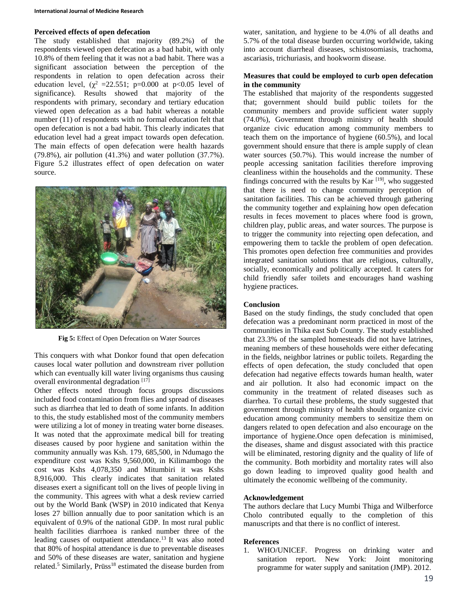#### **Perceived effects of open defecation**

The study established that majority (89.2%) of the respondents viewed open defecation as a bad habit, with only 10.8% of them feeling that it was not a bad habit. There was a significant association between the perception of the respondents in relation to open defecation across their education level,  $(\chi^2 = 22.551; \text{ p=0.000 at p<0.05 level of})$ significance). Results showed that majority of the respondents with primary, secondary and tertiary education viewed open defecation as a bad habit whereas a notable number (11) of respondents with no formal education felt that open defecation is not a bad habit. This clearly indicates that education level had a great impact towards open defecation. The main effects of open defecation were health hazards (79.8%), air pollution (41.3%) and water pollution (37.7%). Figure 5.2 illustrates effect of open defecation on water source.



**Fig 5:** Effect of Open Defecation on Water Sources

This conquers with what Donkor found that open defecation causes local water pollution and downstream river pollution which can eventually kill water living organisms thus causing overall environmental degradation [17]

Other effects noted through focus groups discussions included food contamination from flies and spread of diseases such as diarrhea that led to death of some infants. In addition to this, the study established most of the community members were utilizing a lot of money in treating water borne diseases. It was noted that the approximate medical bill for treating diseases caused by poor hygiene and sanitation within the community annually was Ksh. 179, 685,500, in Ndumago the expenditure cost was Kshs 9,560,000, in Kilimambogo the cost was Kshs 4,078,350 and Mitumbiri it was Kshs 8,916,000. This clearly indicates that sanitation related diseases exert a significant toll on the lives of people living in the community. This agrees with what a desk review carried out by the World Bank (WSP) in 2010 indicated that Kenya loses 27 billion annually due to poor sanitation which is an equivalent of 0.9% of the national GDP. In most rural public health facilities diarrhoea is ranked number three of the leading causes of outpatient attendance.<sup>13</sup> It was also noted that 80% of hospital attendance is due to preventable diseases and 50% of these diseases are water, sanitation and hygiene related.<sup>5</sup> Similarly, Prüss<sup>18</sup> estimated the disease burden from

water, sanitation, and hygiene to be 4.0% of all deaths and 5.7% of the total disease burden occurring worldwide, taking into account diarrheal diseases, schistosomiasis, trachoma, ascariasis, trichuriasis, and hookworm disease.

### **Measures that could be employed to curb open defecation in the community**

The established that majority of the respondents suggested that; government should build public toilets for the community members and provide sufficient water supply (74.0%), Government through ministry of health should organize civic education among community members to teach them on the importance of hygiene (60.5%), and local government should ensure that there is ample supply of clean water sources (50.7%). This would increase the number of people accessing sanitation facilities therefore improving cleanliness within the households and the community. These findings concurred with the results by Kar  $[19]$ , who suggested that there is need to change community perception of sanitation facilities. This can be achieved through gathering the community together and explaining how open defecation results in feces movement to places where food is grown, children play, public areas, and water sources. The purpose is to trigger the community into rejecting open defecation, and empowering them to tackle the problem of open defecation. This promotes open defection free communities and provides integrated sanitation solutions that are religious, culturally, socially, economically and politically accepted. It caters for child friendly safer toilets and encourages hand washing hygiene practices.

### **Conclusion**

Based on the study findings, the study concluded that open defecation was a predominant norm practiced in most of the communities in Thika east Sub County. The study established that 23.3% of the sampled homesteads did not have latrines, meaning members of these households were either defecating in the fields, neighbor latrines or public toilets. Regarding the effects of open defecation, the study concluded that open defecation had negative effects towards human health, water and air pollution. It also had economic impact on the community in the treatment of related diseases such as diarrhea. To curtail these problems, the study suggested that government through ministry of health should organize civic education among community members to sensitize them on dangers related to open defecation and also encourage on the importance of hygiene.Once open defecation is minimised, the diseases, shame and disgust associated with this practice will be eliminated, restoring dignity and the quality of life of the community. Both morbidity and mortality rates will also go down leading to improved quality good health and ultimately the economic wellbeing of the community.

### **Acknowledgement**

The authors declare that Lucy Mumbi Thiga and Wilberforce Cholo contributed equally to the completion of this manuscripts and that there is no conflict of interest.

#### **References**

1. WHO/UNICEF. Progress on drinking water and sanitation report. New York: Joint monitoring programme for water supply and sanitation (JMP). 2012.